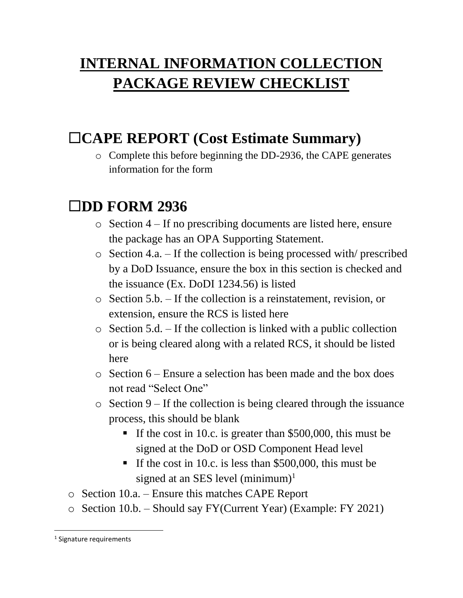# **INTERNAL INFORMATION COLLECTION PACKAGE REVIEW CHECKLIST**

### **CAPE REPORT (Cost Estimate Summary)**

o Complete this before beginning the DD-2936, the CAPE generates information for the form

#### **DD FORM 2936**

- o Section 4 If no prescribing documents are listed here, ensure the package has an OPA Supporting Statement.
- o Section 4.a. If the collection is being processed with/ prescribed by a DoD Issuance, ensure the box in this section is checked and the issuance (Ex. DoDI 1234.56) is listed
- o Section 5.b. If the collection is a reinstatement, revision, or extension, ensure the RCS is listed here
- o Section 5.d. If the collection is linked with a public collection or is being cleared along with a related RCS, it should be listed here
- o Section 6 Ensure a selection has been made and the box does not read "Select One"
- $\circ$  Section 9 If the collection is being cleared through the issuance process, this should be blank
	- If the cost in 10.c. is greater than  $$500,000$ , this must be signed at the DoD or OSD Component Head level
	- If the cost in 10.c. is less than  $$500,000$ , this must be signed at an SES level  $(minimum)^1$
- o Section 10.a. Ensure this matches CAPE Report
- o Section 10.b. Should say FY(Current Year) (Example: FY 2021)

 $\overline{\phantom{a}}$ 

<sup>&</sup>lt;sup>1</sup> Signature requirements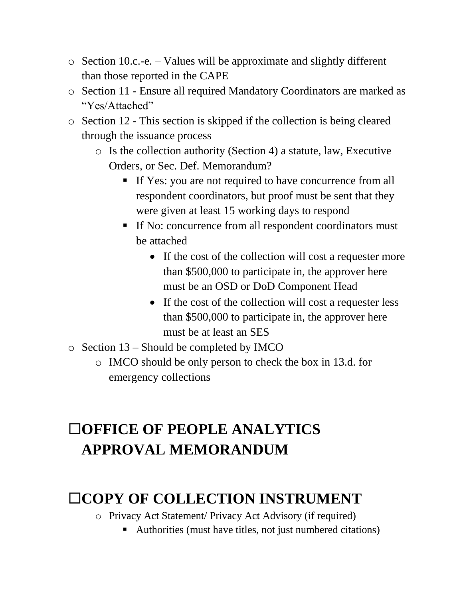- o Section 10.c.-e. Values will be approximate and slightly different than those reported in the CAPE
- o Section 11 Ensure all required Mandatory Coordinators are marked as "Yes/Attached"
- o Section 12 This section is skipped if the collection is being cleared through the issuance process
	- o Is the collection authority (Section 4) a statute, law, Executive Orders, or Sec. Def. Memorandum?
		- If Yes: you are not required to have concurrence from all respondent coordinators, but proof must be sent that they were given at least 15 working days to respond
		- If No: concurrence from all respondent coordinators must be attached
			- If the cost of the collection will cost a requester more than \$500,000 to participate in, the approver here must be an OSD or DoD Component Head
			- If the cost of the collection will cost a requester less than \$500,000 to participate in, the approver here must be at least an SES
- o Section 13 Should be completed by IMCO
	- o IMCO should be only person to check the box in 13.d. for emergency collections

# **OFFICE OF PEOPLE ANALYTICS APPROVAL MEMORANDUM**

# **COPY OF COLLECTION INSTRUMENT**

- o Privacy Act Statement/ Privacy Act Advisory (if required)
	- Authorities (must have titles, not just numbered citations)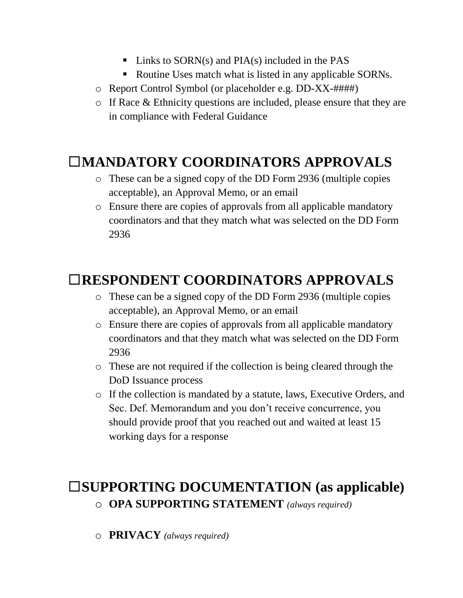- $\blacksquare$  Links to SORN(s) and PIA(s) included in the PAS
- Routine Uses match what is listed in any applicable SORNs.
- o Report Control Symbol (or placeholder e.g. DD-XX-####)
- o If Race & Ethnicity questions are included, please ensure that they are in compliance with Federal Guidance

### **MANDATORY COORDINATORS APPROVALS**

- o These can be a signed copy of the DD Form 2936 (multiple copies acceptable), an Approval Memo, or an email
- o Ensure there are copies of approvals from all applicable mandatory coordinators and that they match what was selected on the DD Form 2936

## **RESPONDENT COORDINATORS APPROVALS**

- o These can be a signed copy of the DD Form 2936 (multiple copies acceptable), an Approval Memo, or an email
- o Ensure there are copies of approvals from all applicable mandatory coordinators and that they match what was selected on the DD Form 2936
- o These are not required if the collection is being cleared through the DoD Issuance process
- o If the collection is mandated by a statute, laws, Executive Orders, and Sec. Def. Memorandum and you don't receive concurrence, you should provide proof that you reached out and waited at least 15 working days for a response

#### **SUPPORTING DOCUMENTATION (as applicable)** o **OPA SUPPORTING STATEMENT** *(always required)*

o **PRIVACY** *(always required)*